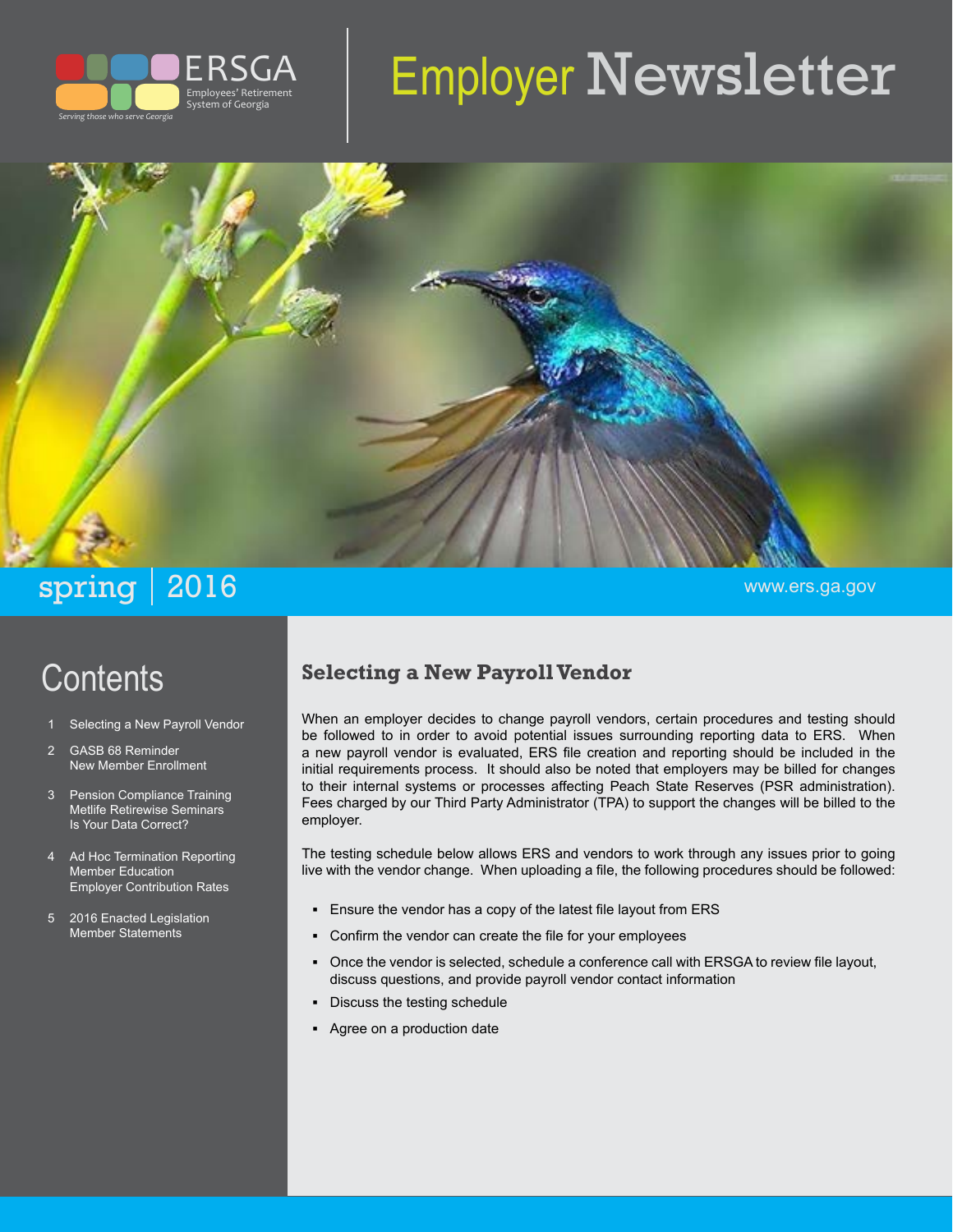

# Employer Newsletter



# **Contents**

- Selecting a New Payroll Vendor
- 2 GASB 68 Reminder New Member Enrollment
- 3 Pension Compliance Training Metlife Retirewise Seminars Is Your Data Correct?
- 4 Ad Hoc Termination Reporting Member Education Employer Contribution Rates
- 5 2016 Enacted Legislation Member Statements

#### **Selecting a New Payroll Vendor**

When an employer decides to change payroll vendors, certain procedures and testing should be followed to in order to avoid potential issues surrounding reporting data to ERS. When a new payroll vendor is evaluated, ERS file creation and reporting should be included in the initial requirements process. It should also be noted that employers may be billed for changes to their internal systems or processes affecting Peach State Reserves (PSR administration). Fees charged by our Third Party Administrator (TPA) to support the changes will be billed to the employer.

The testing schedule below allows ERS and vendors to work through any issues prior to going live with the vendor change. When uploading a file, the following procedures should be followed:

- **▪** Ensure the vendor has a copy of the latest file layout from ERS
- Confirm the vendor can create the file for your employees
- **▪** Once the vendor is selected, schedule a conference call with ERSGA to review file layout, discuss questions, and provide payroll vendor contact information
- **Discuss the testing schedule**
- **▪** Agree on a production date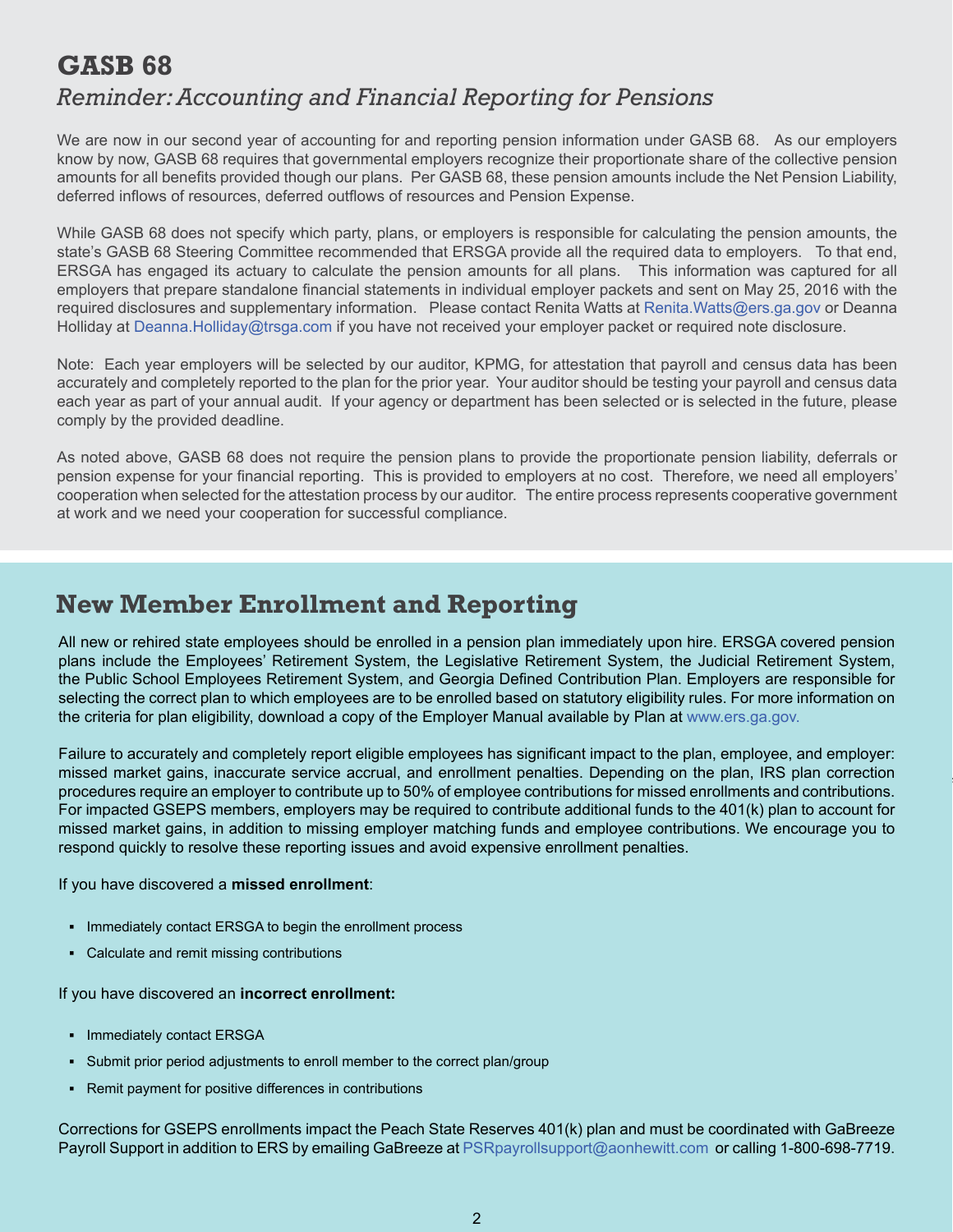### **GASB 68**  *Reminder: Accounting and Financial Reporting for Pensions*

We are now in our second year of accounting for and reporting pension information under GASB 68. As our employers know by now, GASB 68 requires that governmental employers recognize their proportionate share of the collective pension amounts for all benefits provided though our plans. Per GASB 68, these pension amounts include the Net Pension Liability, deferred inflows of resources, deferred outflows of resources and Pension Expense.

While GASB 68 does not specify which party, plans, or employers is responsible for calculating the pension amounts, the state's GASB 68 Steering Committee recommended that ERSGA provide all the required data to employers. To that end, ERSGA has engaged its actuary to calculate the pension amounts for all plans. This information was captured for all employers that prepare standalone financial statements in individual employer packets and sent on May 25, 2016 with the required disclosures and supplementary information. Please contact Renita Watts at [Renita.Watts@ers.ga.gov](mailto:renita.watts@ers.ga.gov) or Deanna Holliday at [Deanna.Holliday@trsga.com](mailto:deannaholliday@trsga.com) if you have not received your employer packet or required note disclosure.

Note: Each year employers will be selected by our auditor, KPMG, for attestation that payroll and census data has been accurately and completely reported to the plan for the prior year. Your auditor should be testing your payroll and census data each year as part of your annual audit. If your agency or department has been selected or is selected in the future, please comply by the provided deadline.

As noted above, GASB 68 does not require the pension plans to provide the proportionate pension liability, deferrals or pension expense for your financial reporting. This is provided to employers at no cost. Therefore, we need all employers' cooperation when selected for the attestation process by our auditor. The entire process represents cooperative government at work and we need your cooperation for successful compliance.

#### **New Member Enrollment and Reporting**

All new or rehired state employees should be enrolled in a pension plan immediately upon hire. ERSGA covered pension plans include the Employees' Retirement System, the Legislative Retirement System, the Judicial Retirement System, the Public School Employees Retirement System, and Georgia Defined Contribution Plan. Employers are responsible for selecting the correct plan to which employees are to be enrolled based on statutory eligibility rules. For more information on the criteria for plan eligibility, download a copy of the Employer Manual available by Plan at [www.ers.ga.gov.](http://www.ers.ga.gov)

Failure to accurately and completely report eligible employees has significant impact to the plan, employee, and employer: missed market gains, inaccurate service accrual, and enrollment penalties. Depending on the plan, IRS plan correction procedures require an employer to contribute up to 50% of employee contributions for missed enrollments and contributions. For impacted GSEPS members, employers may be required to contribute additional funds to the 401(k) plan to account for missed market gains, in addition to missing employer matching funds and employee contributions. We encourage you to respond quickly to resolve these reporting issues and avoid expensive enrollment penalties.

#### If you have discovered a **missed enrollment**:

- **▪** Immediately contact ERSGA to begin the enrollment process
- Calculate and remit missing contributions

If you have discovered an **incorrect enrollment:**

- **▪** Immediately contact ERSGA
- Submit prior period adjustments to enroll member to the correct plan/group
- **▪** Remit payment for positive differences in contributions

Corrections for GSEPS enrollments impact the Peach State Reserves 401(k) plan and must be coordinated with GaBreeze Payroll Support in addition to ERS by emailing GaBreeze at [PSRpayrollsupport@aonhewitt.com](mailto:PSRpayrollsupport@aonhewwit.com) or calling 1-800-698-7719.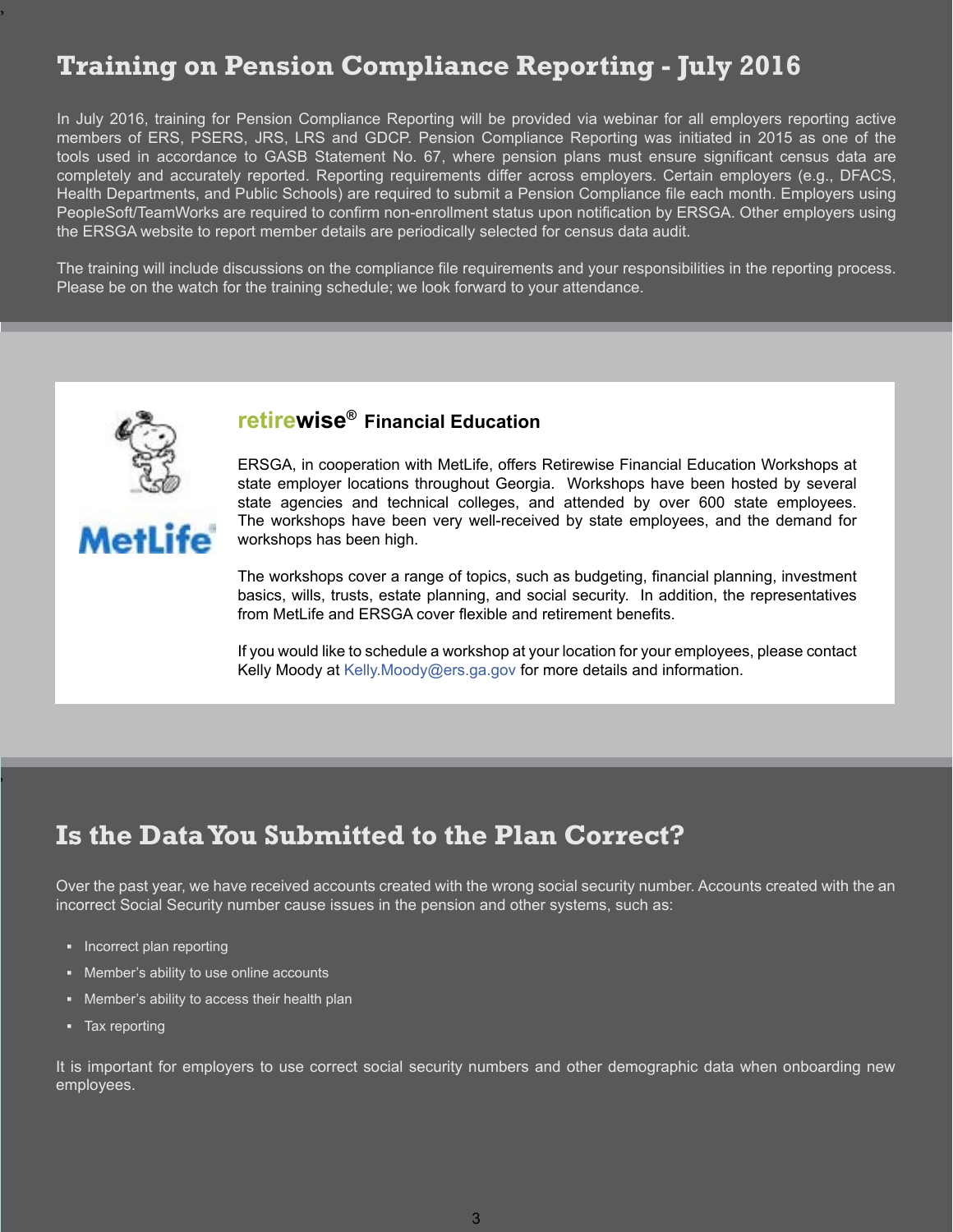# **Training on Pension Compliance Reporting - July 2016**

In July 2016, training for Pension Compliance Reporting will be provided via webinar for all employers reporting active members of ERS, PSERS, JRS, LRS and GDCP. Pension Compliance Reporting was initiated in 2015 as one of the tools used in accordance to GASB Statement No. 67, where pension plans must ensure significant census data are completely and accurately reported. Reporting requirements differ across employers. Certain employers (e.g., DFACS, Health Departments, and Public Schools) are required to submit a Pension Compliance file each month. Employers using PeopleSoft/TeamWorks are required to confirm non-enrollment status upon notification by ERSGA. Other employers using the ERSGA website to report member details are periodically selected for census data audit.

The training will include discussions on the compliance file requirements and your responsibilities in the reporting process. Please be on the watch for the training schedule; we look forward to your attendance.



Metl ife

#### **retirewise® Financial Education**

ERSGA, in cooperation with MetLife, offers Retirewise Financial Education Workshops at state employer locations throughout Georgia. Workshops have been hosted by several state agencies and technical colleges, and attended by over 600 state employees. The workshops have been very well-received by state employees, and the demand for workshops has been high.

The workshops cover a range of topics, such as budgeting, financial planning, investment basics, wills, trusts, estate planning, and social security. In addition, the representatives from MetLife and ERSGA cover flexible and retirement benefits.

If you would like to schedule a workshop at your location for your employees, please contact Kelly Moody at [Kelly.Moody@ers.ga.gov](mailto:kelly.moody@ers.ga.gov) for more details and information.

### **Is the Data You Submitted to the Plan Correct?**

Over the past year, we have received accounts created with the wrong social security number. Accounts created with the an incorrect Social Security number cause issues in the pension and other systems, such as:

- **▪** Incorrect plan reporting
- Member's ability to use online accounts
- **▪** Member's ability to access their health plan
- **▪** Tax reporting

,

,

It is important for employers to use correct social security numbers and other demographic data when onboarding new employees.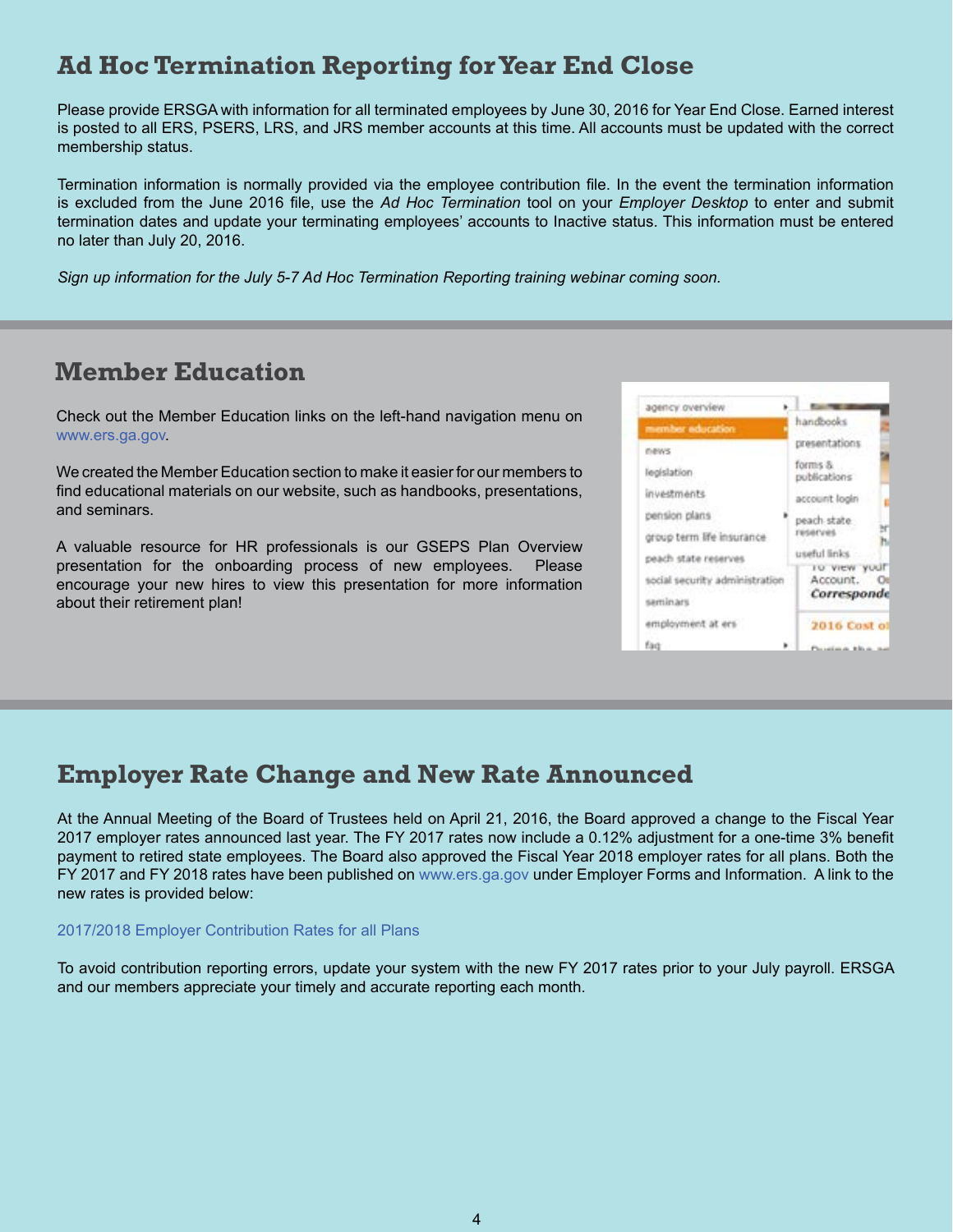## **Ad Hoc Termination Reporting for Year End Close**

Please provide ERSGA with information for all terminated employees by June 30, 2016 for Year End Close. Earned interest is posted to all ERS, PSERS, LRS, and JRS member accounts at this time. All accounts must be updated with the correct membership status.

Termination information is normally provided via the employee contribution file. In the event the termination information is excluded from the June 2016 file, use the *Ad Hoc Termination* tool on your *Employer Desktop* to enter and submit termination dates and update your terminating employees' accounts to Inactive status. This information must be entered no later than July 20, 2016.

*Sign up information for the July 5-7 Ad Hoc Termination Reporting training webinar coming soon.*

#### **Member Education**

Check out the Member Education links on the left-hand navigation menu on www.ers.ga.gov.

We created the Member Education section to make it easier for our members to find educational materials on our website, such as handbooks, presentations, and seminars.

A valuable resource for HR professionals is our GSEPS Plan Overview presentation for the onboarding process of new employees. Please encourage your new hires to view this presentation for more information about their retirement plan!



#### **Employer Rate Change and New Rate Announced**

At the Annual Meeting of the Board of Trustees held on April 21, 2016, the Board approved a change to the Fiscal Year 2017 employer rates announced last year. The FY 2017 rates now include a 0.12% adjustment for a one-time 3% benefit payment to retired state employees. The Board also approved the Fiscal Year 2018 employer rates for all plans. Both the FY 2017 and FY 2018 rates have been published on [www.ers.ga.gov](http://www.ers.ga.gov) under Employer Forms and Information. A link to the new rates is provided below:

#### [2017/2018 Employer Contribution Rates for all Plans](http://www.ers.ga.gov/Docs/Formsandpubs/EmployerContributionRatesFY18.pdf)

To avoid contribution reporting errors, update your system with the new FY 2017 rates prior to your July payroll. ERSGA and our members appreciate your timely and accurate reporting each month.